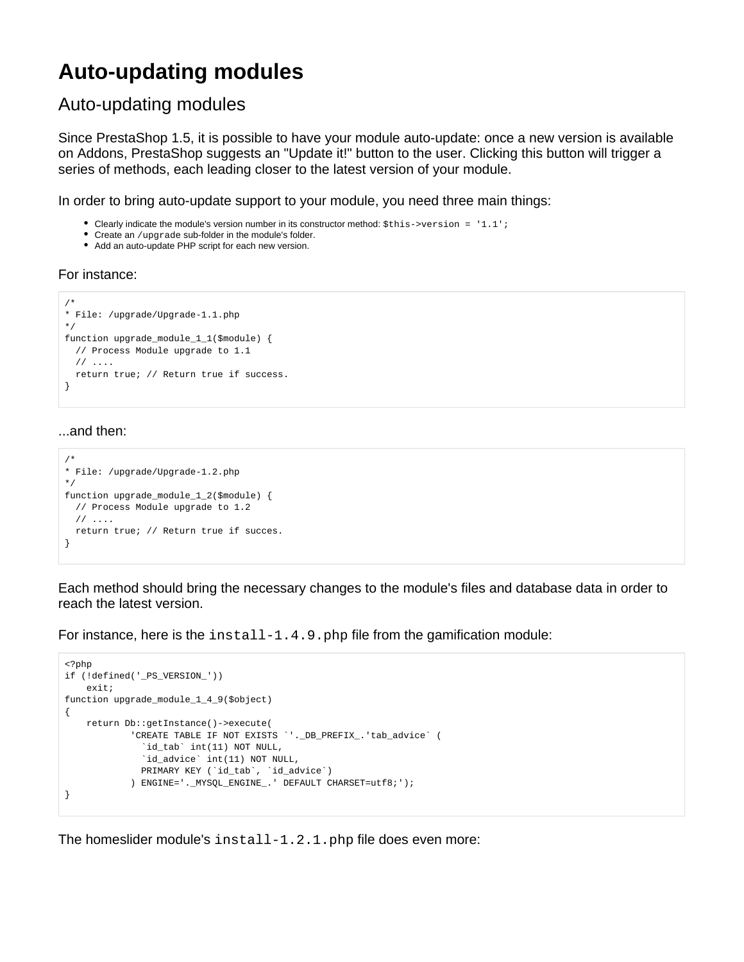## **Auto-updating modules**

## Auto-updating modules

Since PrestaShop 1.5, it is possible to have your module auto-update: once a new version is available on Addons, PrestaShop suggests an "Update it!" button to the user. Clicking this button will trigger a series of methods, each leading closer to the latest version of your module.

In order to bring auto-update support to your module, you need three main things:

- Clearly indicate the module's version number in its constructor method:  $$this->version = '1.1';$
- Create an /upgrade sub-folder in the module's folder.
- Add an auto-update PHP script for each new version.

## For instance:

```
/*
* File: /upgrade/Upgrade-1.1.php
*/
function upgrade_module_1_1($module) {
  // Process Module upgrade to 1.1
  // ....
  return true; // Return true if success.
}
```
## ...and then:

```
/*
* File: /upgrade/Upgrade-1.2.php
*/
function upgrade_module_1_2($module) {
  // Process Module upgrade to 1.2
  // ....
  return true; // Return true if succes.
}
```
Each method should bring the necessary changes to the module's files and database data in order to reach the latest version.

For instance, here is the  $install-1.4.9.$  php file from the gamification module:

```
<?php
if (!defined('_PS_VERSION_'))
    exit;
function upgrade_module_1_4_9($object)
{
    return Db::getInstance()->execute(
            'CREATE TABLE IF NOT EXISTS `'._DB_PREFIX_.'tab_advice` (
               `id_tab` int(11) NOT NULL,
              `id_advice` int(11) NOT NULL,
             PRIMARY KEY (`id_tab`, `id_advice`)
            ) ENGINE='._MYSQL_ENGINE_.' DEFAULT CHARSET=utf8;');
}
```
The homeslider module's install-1.2.1.php file does even more: